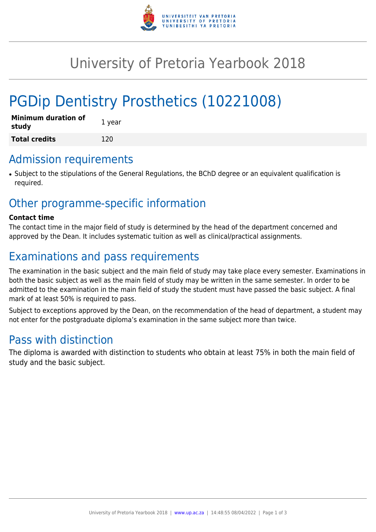

# University of Pretoria Yearbook 2018

# PGDip Dentistry Prosthetics (10221008)

| <b>Minimum duration of</b><br>study | 1 year |
|-------------------------------------|--------|
| <b>Total credits</b>                | 120    |

# Admission requirements

• Subject to the stipulations of the General Regulations, the BChD degree or an equivalent qualification is required.

# Other programme-specific information

#### **Contact time**

The contact time in the major field of study is determined by the head of the department concerned and approved by the Dean. It includes systematic tuition as well as clinical/practical assignments.

# Examinations and pass requirements

The examination in the basic subject and the main field of study may take place every semester. Examinations in both the basic subject as well as the main field of study may be written in the same semester. In order to be admitted to the examination in the main field of study the student must have passed the basic subject. A final mark of at least 50% is required to pass.

Subject to exceptions approved by the Dean, on the recommendation of the head of department, a student may not enter for the postgraduate diploma's examination in the same subject more than twice.

# Pass with distinction

The diploma is awarded with distinction to students who obtain at least 75% in both the main field of study and the basic subject.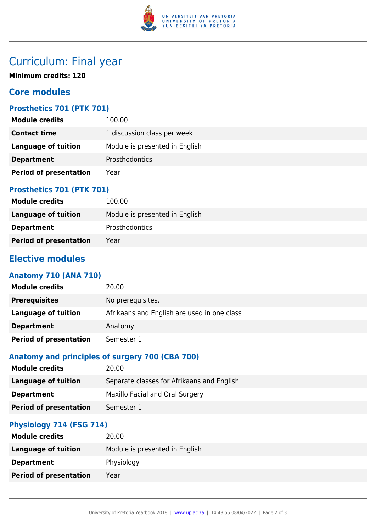

# Curriculum: Final year

**Minimum credits: 120**

## **Core modules**

## **Prosthetics 701 (PTK 701)**

| <b>Module credits</b>         | 100.00                         |
|-------------------------------|--------------------------------|
| <b>Contact time</b>           | 1 discussion class per week    |
| Language of tuition           | Module is presented in English |
| <b>Department</b>             | <b>Prosthodontics</b>          |
| <b>Period of presentation</b> | Year                           |

## **Prosthetics 701 (PTK 701)**

| <b>Module credits</b>         | 100.00                         |
|-------------------------------|--------------------------------|
| Language of tuition           | Module is presented in English |
| <b>Department</b>             | <b>Prosthodontics</b>          |
| <b>Period of presentation</b> | Year                           |

# **Elective modules**

### **Anatomy 710 (ANA 710)**

| <b>Module credits</b>         | 20.00                                       |
|-------------------------------|---------------------------------------------|
| <b>Prerequisites</b>          | No prerequisites.                           |
| Language of tuition           | Afrikaans and English are used in one class |
| <b>Department</b>             | Anatomy                                     |
| <b>Period of presentation</b> | Semester 1                                  |

### **Anatomy and principles of surgery 700 (CBA 700)**

| <b>Module credits</b>         | 20.00                                      |
|-------------------------------|--------------------------------------------|
| Language of tuition           | Separate classes for Afrikaans and English |
| <b>Department</b>             | Maxillo Facial and Oral Surgery            |
| <b>Period of presentation</b> | Semester 1                                 |

#### **Physiology 714 (FSG 714)**

| <b>Module credits</b>         | 20.00                          |
|-------------------------------|--------------------------------|
| Language of tuition           | Module is presented in English |
| <b>Department</b>             | Physiology                     |
| <b>Period of presentation</b> | Year                           |
|                               |                                |